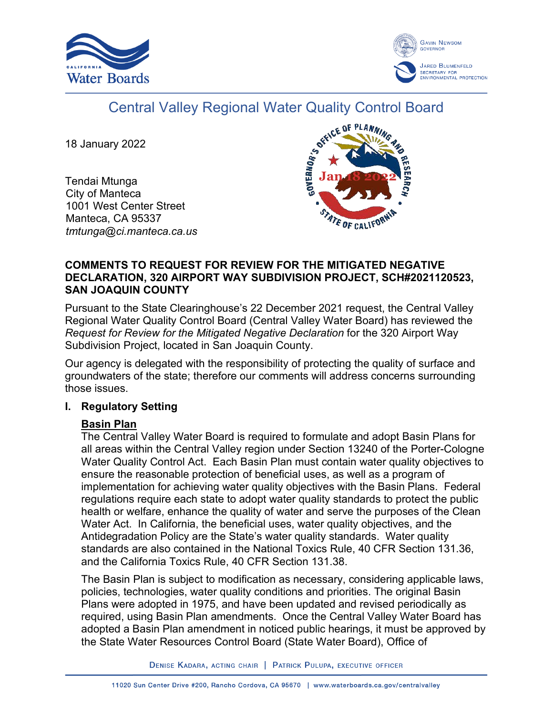



# Central Valley Regional Water Quality Control Board

18 January 2022

Tendai Mtunga City of Manteca 1001 West Center Street Manteca, CA 95337 *tmtunga@ci.manteca.ca.us*



#### **COMMENTS TO REQUEST FOR REVIEW FOR THE MITIGATED NEGATIVE DECLARATION, 320 AIRPORT WAY SUBDIVISION PROJECT, SCH#2021120523, SAN JOAQUIN COUNTY**

Pursuant to the State Clearinghouse's 22 December 2021 request, the Central Valley Regional Water Quality Control Board (Central Valley Water Board) has reviewed the *Request for Review for the Mitigated Negative Declaration* for the 320 Airport Way Subdivision Project, located in San Joaquin County.

Our agency is delegated with the responsibility of protecting the quality of surface and groundwaters of the state; therefore our comments will address concerns surrounding those issues.

## **I. Regulatory Setting**

## **Basin Plan**

The Central Valley Water Board is required to formulate and adopt Basin Plans for all areas within the Central Valley region under Section 13240 of the Porter-Cologne Water Quality Control Act. Each Basin Plan must contain water quality objectives to ensure the reasonable protection of beneficial uses, as well as a program of implementation for achieving water quality objectives with the Basin Plans. Federal regulations require each state to adopt water quality standards to protect the public health or welfare, enhance the quality of water and serve the purposes of the Clean Water Act. In California, the beneficial uses, water quality objectives, and the Antidegradation Policy are the State's water quality standards. Water quality standards are also contained in the National Toxics Rule, 40 CFR Section 131.36, and the California Toxics Rule, 40 CFR Section 131.38.

The Basin Plan is subject to modification as necessary, considering applicable laws, policies, technologies, water quality conditions and priorities. The original Basin Plans were adopted in 1975, and have been updated and revised periodically as required, using Basin Plan amendments. Once the Central Valley Water Board has adopted a Basin Plan amendment in noticed public hearings, it must be approved by the State Water Resources Control Board (State Water Board), Office of

DENISE KADARA, ACTING CHAIR | PATRICK PULUPA, EXECUTIVE OFFICER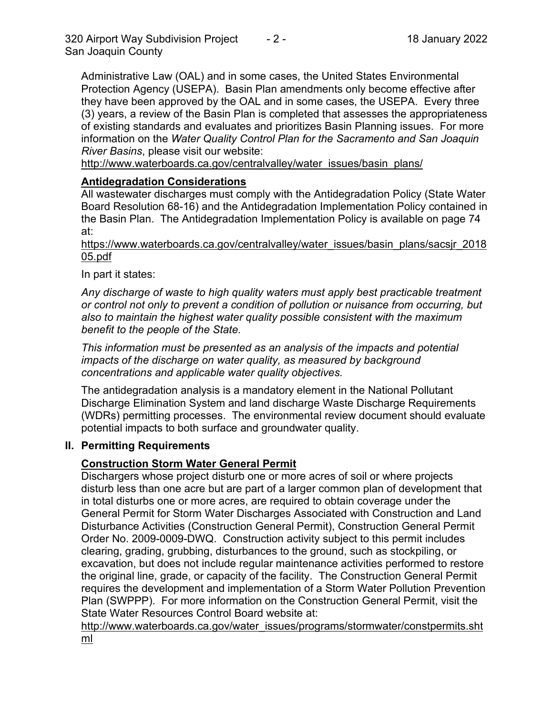Administrative Law (OAL) and in some cases, the United States Environmental Protection Agency (USEPA). Basin Plan amendments only become effective after they have been approved by the OAL and in some cases, the USEPA. Every three (3) years, a review of the Basin Plan is completed that assesses the appropriateness of existing standards and evaluates and prioritizes Basin Planning issues. For more information on the *Water Quality Control Plan for the Sacramento and San Joaquin River Basins*, please visit our website:

[http://www.waterboards.ca.gov/centralvalley/water\\_issues/basin\\_plans/](http://www.waterboards.ca.gov/centralvalley/water_issues/basin_plans/)

## **Antidegradation Considerations**

All wastewater discharges must comply with the Antidegradation Policy (State Water Board Resolution 68-16) and the Antidegradation Implementation Policy contained in the Basin Plan. The Antidegradation Implementation Policy is available on page 74 at:

https://www.waterboards.ca.gov/centralvalley/water\_issues/basin\_plans/sacsjr\_2018 05.pdf

In part it states:

*Any discharge of waste to high quality waters must apply best practicable treatment or control not only to prevent a condition of pollution or nuisance from occurring, but also to maintain the highest water quality possible consistent with the maximum benefit to the people of the State.*

*This information must be presented as an analysis of the impacts and potential impacts of the discharge on water quality, as measured by background concentrations and applicable water quality objectives.*

The antidegradation analysis is a mandatory element in the National Pollutant Discharge Elimination System and land discharge Waste Discharge Requirements (WDRs) permitting processes. The environmental review document should evaluate potential impacts to both surface and groundwater quality.

#### **II. Permitting Requirements**

## **Construction Storm Water General Permit**

Dischargers whose project disturb one or more acres of soil or where projects disturb less than one acre but are part of a larger common plan of development that in total disturbs one or more acres, are required to obtain coverage under the General Permit for Storm Water Discharges Associated with Construction and Land Disturbance Activities (Construction General Permit), Construction General Permit Order No. 2009-0009-DWQ. Construction activity subject to this permit includes clearing, grading, grubbing, disturbances to the ground, such as stockpiling, or excavation, but does not include regular maintenance activities performed to restore the original line, grade, or capacity of the facility. The Construction General Permit requires the development and implementation of a Storm Water Pollution Prevention Plan (SWPPP). For more information on the Construction General Permit, visit the State Water Resources Control Board website at:

[http://www.waterboards.ca.gov/water\\_issues/programs/stormwater/constpermits.sht](http://www.waterboards.ca.gov/water_issues/programs/stormwater/constpermits.shtml) [ml](http://www.waterboards.ca.gov/water_issues/programs/stormwater/constpermits.shtml)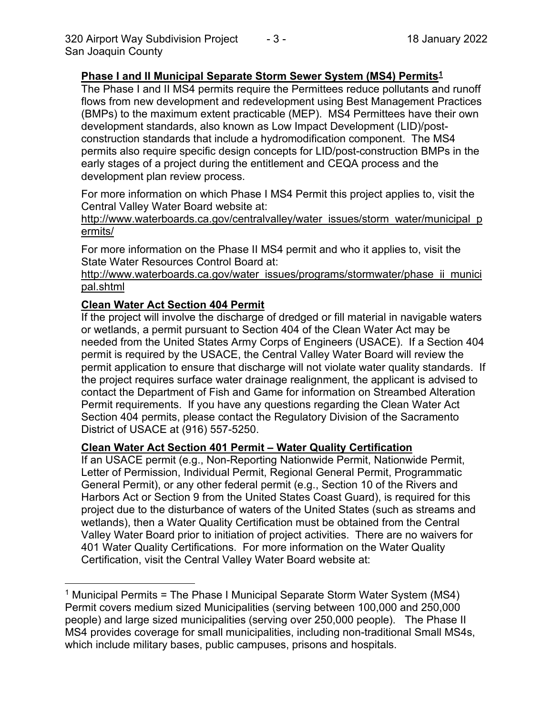#### **Phase I and II Municipal Separate Storm Sewer System (MS4) Permits[1](#page-3-0)**

The Phase I and II MS4 permits require the Permittees reduce pollutants and runoff flows from new development and redevelopment using Best Management Practices (BMPs) to the maximum extent practicable (MEP). MS4 Permittees have their own development standards, also known as Low Impact Development (LID)/postconstruction standards that include a hydromodification component. The MS4 permits also require specific design concepts for LID/post-construction BMPs in the early stages of a project during the entitlement and CEQA process and the development plan review process.

For more information on which Phase I MS4 Permit this project applies to, visit the Central Valley Water Board website at:

http://www.waterboards.ca.gov/centralvalley/water\_issues/storm\_water/municipal\_p ermits/

For more information on the Phase II MS4 permit and who it applies to, visit the State Water Resources Control Board at:

http://www.waterboards.ca.gov/water\_issues/programs/stormwater/phase\_ii\_munici pal.shtml

#### **Clean Water Act Section 404 Permit**

If the project will involve the discharge of dredged or fill material in navigable waters or wetlands, a permit pursuant to Section 404 of the Clean Water Act may be needed from the United States Army Corps of Engineers (USACE). If a Section 404 permit is required by the USACE, the Central Valley Water Board will review the permit application to ensure that discharge will not violate water quality standards. If the project requires surface water drainage realignment, the applicant is advised to contact the Department of Fish and Game for information on Streambed Alteration Permit requirements. If you have any questions regarding the Clean Water Act Section 404 permits, please contact the Regulatory Division of the Sacramento District of USACE at (916) 557-5250.

#### **Clean Water Act Section 401 Permit – Water Quality Certification**

If an USACE permit (e.g., Non-Reporting Nationwide Permit, Nationwide Permit, Letter of Permission, Individual Permit, Regional General Permit, Programmatic General Permit), or any other federal permit (e.g., Section 10 of the Rivers and Harbors Act or Section 9 from the United States Coast Guard), is required for this project due to the disturbance of waters of the United States (such as streams and wetlands), then a Water Quality Certification must be obtained from the Central Valley Water Board prior to initiation of project activities. There are no waivers for 401 Water Quality Certifications. For more information on the Water Quality Certification, visit the Central Valley Water Board website at:

<sup>&</sup>lt;sup>1</sup> Municipal Permits = The Phase I Municipal Separate Storm Water System (MS4) Permit covers medium sized Municipalities (serving between 100,000 and 250,000 people) and large sized municipalities (serving over 250,000 people). The Phase II MS4 provides coverage for small municipalities, including non-traditional Small MS4s, which include military bases, public campuses, prisons and hospitals.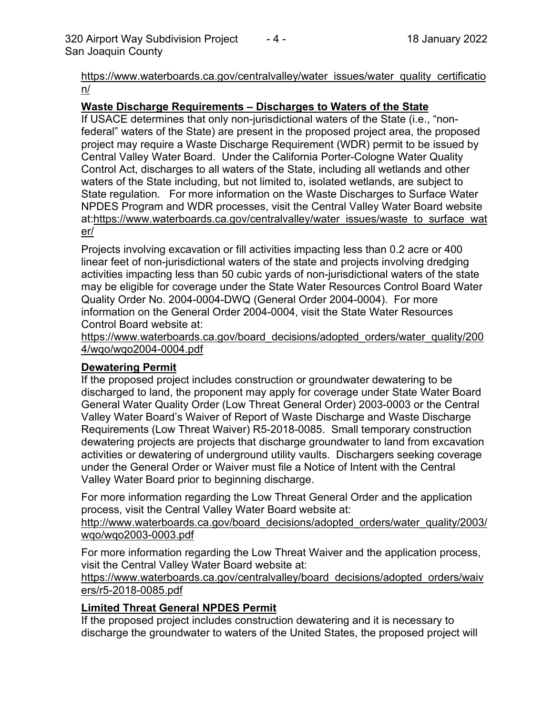https://www.waterboards.ca.gov/centralvalley/water\_issues/water\_quality\_certificatio n/

#### **Waste Discharge Requirements – Discharges to Waters of the State**

If USACE determines that only non-jurisdictional waters of the State (i.e., "nonfederal" waters of the State) are present in the proposed project area, the proposed project may require a Waste Discharge Requirement (WDR) permit to be issued by Central Valley Water Board. Under the California Porter-Cologne Water Quality Control Act, discharges to all waters of the State, including all wetlands and other waters of the State including, but not limited to, isolated wetlands, are subject to State regulation. For more information on the Waste Discharges to Surface Water NPDES Program and WDR processes, visit the Central Valley Water Board website at:https://www.waterboards.ca.gov/centralvalley/water\_issues/waste\_to\_surface\_wat er/

Projects involving excavation or fill activities impacting less than 0.2 acre or 400 linear feet of non-jurisdictional waters of the state and projects involving dredging activities impacting less than 50 cubic yards of non-jurisdictional waters of the state may be eligible for coverage under the State Water Resources Control Board Water Quality Order No. 2004-0004-DWQ (General Order 2004-0004). For more information on the General Order 2004-0004, visit the State Water Resources Control Board website at:

https://www.waterboards.ca.gov/board\_decisions/adopted\_orders/water\_quality/200 4/wqo/wqo2004-0004.pdf

## **Dewatering Permit**

If the proposed project includes construction or groundwater dewatering to be discharged to land, the proponent may apply for coverage under State Water Board General Water Quality Order (Low Threat General Order) 2003-0003 or the Central Valley Water Board's Waiver of Report of Waste Discharge and Waste Discharge Requirements (Low Threat Waiver) R5-2018-0085. Small temporary construction dewatering projects are projects that discharge groundwater to land from excavation activities or dewatering of underground utility vaults. Dischargers seeking coverage under the General Order or Waiver must file a Notice of Intent with the Central Valley Water Board prior to beginning discharge.

For more information regarding the Low Threat General Order and the application process, visit the Central Valley Water Board website at:

http://www.waterboards.ca.gov/board decisions/adopted orders/water quality/2003/ wqo/wqo2003-0003.pdf

For more information regarding the Low Threat Waiver and the application process, visit the Central Valley Water Board website at:

<span id="page-3-0"></span>https://www.waterboards.ca.gov/centralvalley/board\_decisions/adopted\_orders/waiv ers/r5-2018-0085.pdf

## **Limited Threat General NPDES Permit**

If the proposed project includes construction dewatering and it is necessary to discharge the groundwater to waters of the United States, the proposed project will